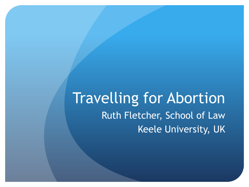Travelling for Abortion Ruth Fletcher, School of Law Keele University, UK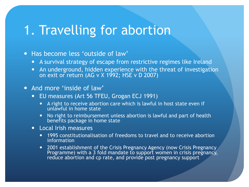### 1. Travelling for abortion

#### • Has become less 'outside of law'

- A survival strategy of escape from restrictive regimes like Ireland
- An underground, hidden experience with the threat of investigation on exit or return (AG v X 1992; HSE v D 2007)

#### • And more 'inside of law'

- EU measures (Art 56 TFEU, Grogan ECJ 1991)
	- A right to receive abortion care which is lawful in host state even if unlawful in home state
	- No right to reimbursement unless abortion is lawful and part of health benefits package in home state
- Local Irish measures
	- 1995 constitutionalisation of freedoms to travel and to receive abortion information
	- 2001 establishment of the Crisis Pregnancy Agency (now Crisis Pregnancy Programme) with a 3 fold mandate to support women in crisis pregnancy, reduce abortion and cp rate, and provide post pregnancy support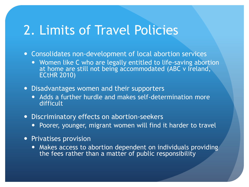## 2. Limits of Travel Policies

- Consolidates non-development of local abortion services
	- Women like C who are legally entitled to life-saving abortion at home are still not being accommodated (ABC v Ireland, ECtHR 2010)
- Disadvantages women and their supporters
	- Adds a further hurdle and makes self-determination more difficult
- Discriminatory effects on abortion-seekers
	- Poorer, younger, migrant women will find it harder to travel
- Privatises provision
	- Makes access to abortion dependent on individuals providing the fees rather than a matter of public responsibility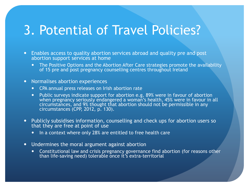## 3. Potential of Travel Policies?

- Enables access to quality abortion services abroad and quality pre and post abortion support services at home
	- The Positive Options and the Abortion After Care strategies promote the availability of 15 pre and post pregnancy counselling centres throughout Ireland
- Normalises abortion experiences
	- CPA annual press releases on Irish abortion rate
	- Public surveys indicate support for abortion e.g. 89% were in favour of abortion when pregnancy seriously endangered a woman's health, 45% were in favour in all circumstances, and 9% thought that abortion should not be permissible in any circumstances (CPP, 2012, p. 130).
- Publicly subsidises information, counselling and check ups for abortion users so that they are free at point of use
	- In a context where only 28% are entitled to free health care
- Undermines the moral argument against abortion
	- Constitutional law and crisis pregnancy governance find abortion (for reasons other than life-saving need) tolerable once it's extra-territorial